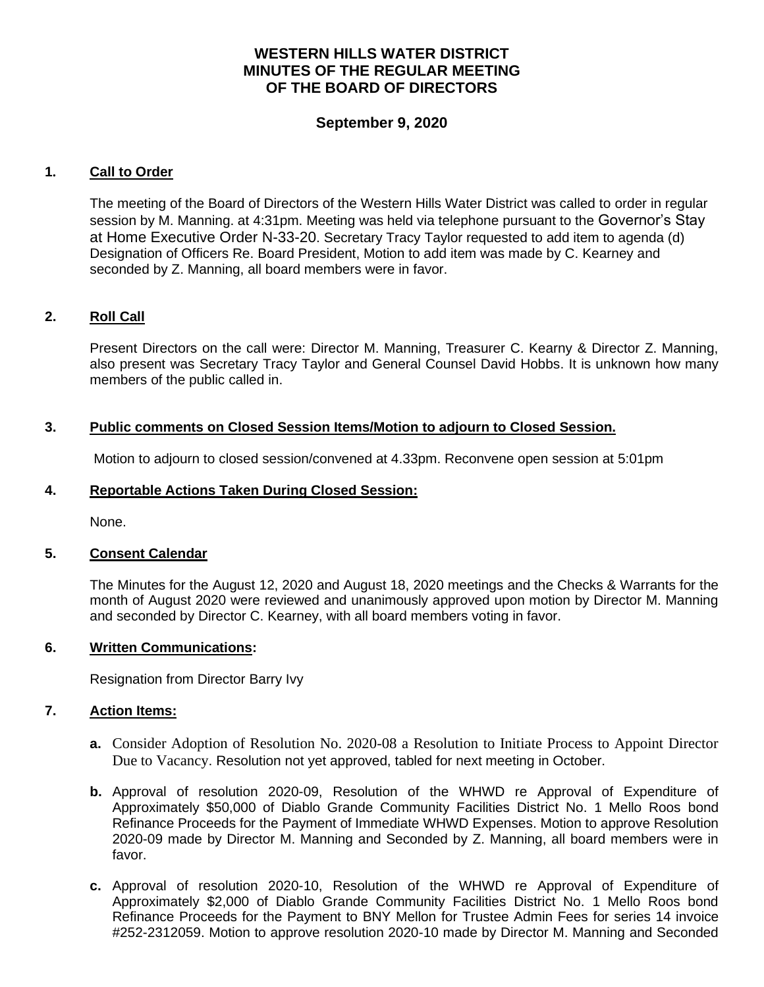# **WESTERN HILLS WATER DISTRICT MINUTES OF THE REGULAR MEETING OF THE BOARD OF DIRECTORS**

## **September 9, 2020**

### **1. Call to Order**

The meeting of the Board of Directors of the Western Hills Water District was called to order in regular session by M. Manning. at 4:31pm. Meeting was held via telephone pursuant to the Governor's Stay at Home Executive Order N-33-20. Secretary Tracy Taylor requested to add item to agenda (d) Designation of Officers Re. Board President, Motion to add item was made by C. Kearney and seconded by Z. Manning, all board members were in favor.

### **2. Roll Call**

Present Directors on the call were: Director M. Manning, Treasurer C. Kearny & Director Z. Manning, also present was Secretary Tracy Taylor and General Counsel David Hobbs. It is unknown how many members of the public called in.

### **3. Public comments on Closed Session Items/Motion to adjourn to Closed Session.**

Motion to adjourn to closed session/convened at 4.33pm. Reconvene open session at 5:01pm

### **4. Reportable Actions Taken During Closed Session:**

None.

#### **5. Consent Calendar**

The Minutes for the August 12, 2020 and August 18, 2020 meetings and the Checks & Warrants for the month of August 2020 were reviewed and unanimously approved upon motion by Director M. Manning and seconded by Director C. Kearney, with all board members voting in favor.

#### **6. Written Communications:**

Resignation from Director Barry Ivy

#### **7. Action Items:**

- **a.** Consider Adoption of Resolution No. 2020-08 a Resolution to Initiate Process to Appoint Director Due to Vacancy. Resolution not yet approved, tabled for next meeting in October.
- **b.** Approval of resolution 2020-09, Resolution of the WHWD re Approval of Expenditure of Approximately \$50,000 of Diablo Grande Community Facilities District No. 1 Mello Roos bond Refinance Proceeds for the Payment of Immediate WHWD Expenses. Motion to approve Resolution 2020-09 made by Director M. Manning and Seconded by Z. Manning, all board members were in favor.
- **c.** Approval of resolution 2020-10, Resolution of the WHWD re Approval of Expenditure of Approximately \$2,000 of Diablo Grande Community Facilities District No. 1 Mello Roos bond Refinance Proceeds for the Payment to BNY Mellon for Trustee Admin Fees for series 14 invoice #252-2312059. Motion to approve resolution 2020-10 made by Director M. Manning and Seconded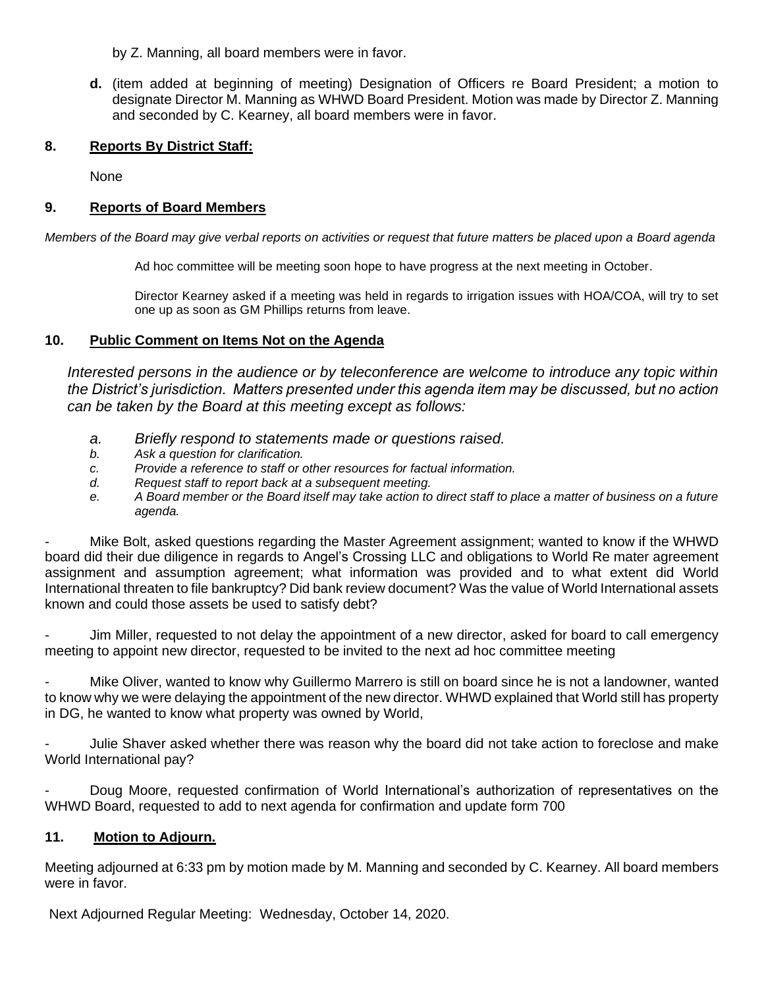by Z. Manning, all board members were in favor.

**d.** (item added at beginning of meeting) Designation of Officers re Board President; a motion to designate Director M. Manning as WHWD Board President. Motion was made by Director Z. Manning and seconded by C. Kearney, all board members were in favor.

## **8. Reports By District Staff:**

None

## **9. Reports of Board Members**

*Members of the Board may give verbal reports on activities or request that future matters be placed upon a Board agenda*

Ad hoc committee will be meeting soon hope to have progress at the next meeting in October.

Director Kearney asked if a meeting was held in regards to irrigation issues with HOA/COA, will try to set one up as soon as GM Phillips returns from leave.

## **10. Public Comment on Items Not on the Agenda**

*Interested persons in the audience or by teleconference are welcome to introduce any topic within the District's jurisdiction. Matters presented under this agenda item may be discussed, but no action can be taken by the Board at this meeting except as follows:*

- *a. Briefly respond to statements made or questions raised.*
- *b. Ask a question for clarification.*
- *c. Provide a reference to staff or other resources for factual information.*
- *d. Request staff to report back at a subsequent meeting.*
- *e. A Board member or the Board itself may take action to direct staff to place a matter of business on a future agenda.*

Mike Bolt, asked questions regarding the Master Agreement assignment; wanted to know if the WHWD board did their due diligence in regards to Angel's Crossing LLC and obligations to World Re mater agreement assignment and assumption agreement; what information was provided and to what extent did World International threaten to file bankruptcy? Did bank review document? Was the value of World International assets known and could those assets be used to satisfy debt?

Jim Miller, requested to not delay the appointment of a new director, asked for board to call emergency meeting to appoint new director, requested to be invited to the next ad hoc committee meeting

- Mike Oliver, wanted to know why Guillermo Marrero is still on board since he is not a landowner, wanted to know why we were delaying the appointment of the new director. WHWD explained that World still has property in DG, he wanted to know what property was owned by World,

- Julie Shaver asked whether there was reason why the board did not take action to foreclose and make World International pay?

- Doug Moore, requested confirmation of World International's authorization of representatives on the WHWD Board, requested to add to next agenda for confirmation and update form 700

# **11. Motion to Adjourn.**

Meeting adjourned at 6:33 pm by motion made by M. Manning and seconded by C. Kearney. All board members were in favor.

Next Adjourned Regular Meeting: Wednesday, October 14, 2020.